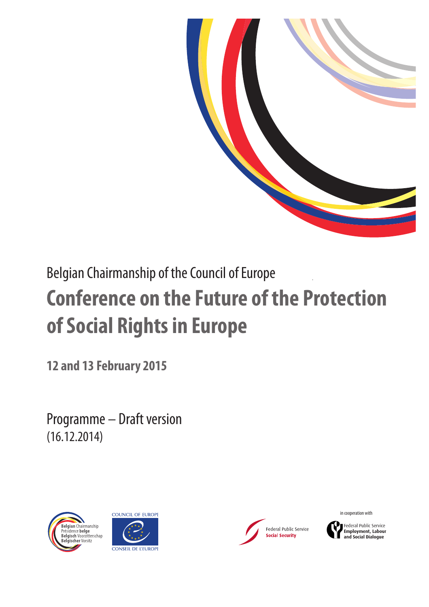

# Belgian Chairmanship of the Council of Europe **Conference on the Future of the Protection of Social Rights in Europe**

**12 and 13 February 2015**

Programme – Draft version (16.12.2014)







in cooperation with

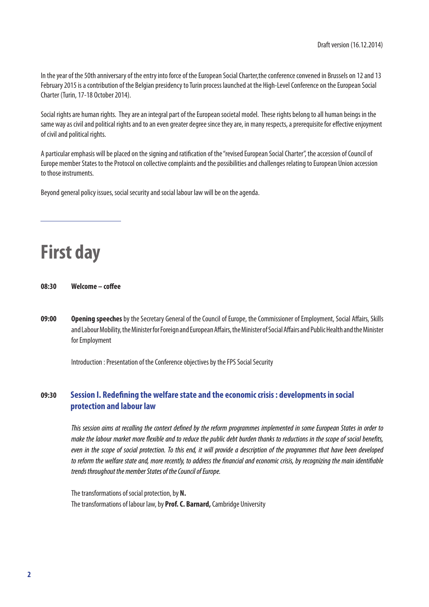In the year of the 50th anniversary of the entry into force of the European Social Charter,the conference convened in Brussels on 12 and 13 February 2015 is a contribution of the Belgian presidency to Turin process launched at the High-Level Conference on the European Social Charter (Turin, 17-18 October 2014).

Social rights are human rights. They are an integral part of the European societal model. These rights belong to all human beings in the same way as civil and political rights and to an even greater degree since they are, in many respects, a prerequisite for efective enjoyment of civil and political rights.

A particular emphasis will be placed on the signing and ratifcation of the "revised European Social Charter", the accession of Council of Europe member States to the Protocol on collective complaints and the possibilities and challenges relating to European Union accession to those instruments.

Beyond general policy issues, social security and social labour law will be on the agenda.

**First day** 

**08:30 Welcome – cofee**

**09:00** Opening speeches by the Secretary General of the Council of Europe, the Commissioner of Employment, Social Affairs, Skills and Labour Mobility, the Minister for Foreign and European Afairs, the Minister of Social Afairs and Public Health and the Minister for Employment

Introduction : Presentation of the Conference objectives by the FPS Social Security

### **09:30 Session I. Redefning the welfare state and the economic crisis : developments in social protection and labour law**

This session aims at recalling the context defned by the reform programmes implemented in some European States in order to make the labour market more fexible and to reduce the public debt burden thanks to reductions in the scope of social benefts, even in the scope of social protection. To this end, it will provide a description of the programmes that have been developed to reform the welfare state and, more recently, to address the fnancial and economic crisis, by recognizing the main identifable trends throughout the member States of the Council of Europe.

The transformations of social protection, by **N.** The transformations of labour law, by **Prof. C. Barnard,** Cambridge University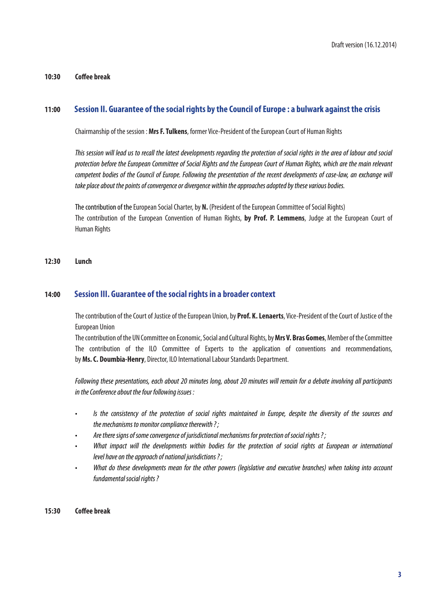### **10:30 Cofee break**

### **11:00 Session II. Guarantee of the social rights by the Council of Europe : a bulwark against the crisis**

Chairmanship of the session : **Mrs F. Tulkens**, former Vice-President of the European Court of Human Rights

This session will lead us to recall the latest developments regarding the protection of social rights in the area of labour and social protection before the European Committee of Social Rights and the European Court of Human Rights, which are the main relevant competent bodies of the Council of Europe. Following the presentation of the recent developments of case-law, an exchange will take place about the points of convergence or divergence within the approaches adopted by these various bodies.

The contribution of the European Social Charter, by **N.** (President of the European Committee of Social Rights) The contribution of the European Convention of Human Rights, **by Prof. P. Lemmens**, Judge at the European Court of Human Rights

### **12:30 Lunch**

### **14:00 Session III. Guarantee of the social rights in a broader context**

The contribution of the Court of Justice of the European Union, by **Prof. K. Lenaerts**, Vice-President of the Court of Justice of the European Union

The contribution of the UN Committee on Economic, Social and Cultural Rights, by **Mrs V. Bras Gomes**, Member of the Committee The contribution of the ILO Committee of Experts to the application of conventions and recommendations, by **Ms. C. Doumbia-Henry**, Director, ILO International Labour Standards Department.

Following these presentations, each about 20 minutes long, about 20 minutes will remain for a debate involving all participants in the Conference about the four following issues :

- . Is the consistency of the protection of social rights maintained in Europe, despite the diversity of the sources and the mechanisms to monitor compliance therewith ? ;
- Are there signs of some convergence of jurisdictional mechanisms for protection of social rights ?;
- What impact will the developments within bodies for the protection of social rights at European or international level have on the approach of national jurisdictions ?;
- What do these developments mean for the other powers (legislative and executive branches) when taking into account fundamental social rights?

### **15:30 Cofee break**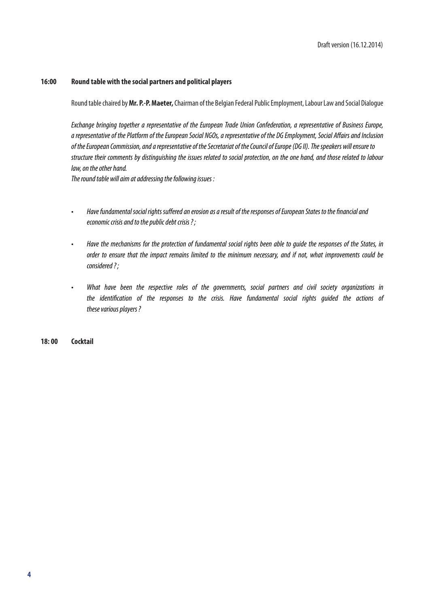#### 16:00 Round table with the social partners and political players

Round table chaired by Mr. P.-P. Maeter, Chairman of the Belgian Federal Public Employment, Labour Law and Social Dialoque

Exchange bringing together a representative of the European Trade Union Confederation, a representative of Business Europe, a representative of the Platform of the European Social NGOs, a representative of the DG Employment, Social Affairs and Inclusion of the European Commission, and a representative of the Secretariat of the Council of Europe (DG II). The speakers will ensure to structure their comments by distinguishing the issues related to social protection, on the one hand, and those related to labour law, on the other hand.

The round table will aim at addressing the following issues:

- Have fundamental social rights suffered an erosion as a result of the responses of European States to the financial and  $\ddot{\phantom{0}}$ economic crisis and to the public debt crisis?;
- Have the mechanisms for the protection of fundamental social rights been able to quide the responses of the States, in  $\ddot{\phantom{a}}$ order to ensure that the impact remains limited to the minimum necessary, and if not, what improvements could be  $considered$  ?:
- What have been the respective roles of the governments, social partners and civil society organizations in the identification of the responses to the crisis. Have fundamental social rights guided the actions of these various players?

 $18:00$ **Cocktail**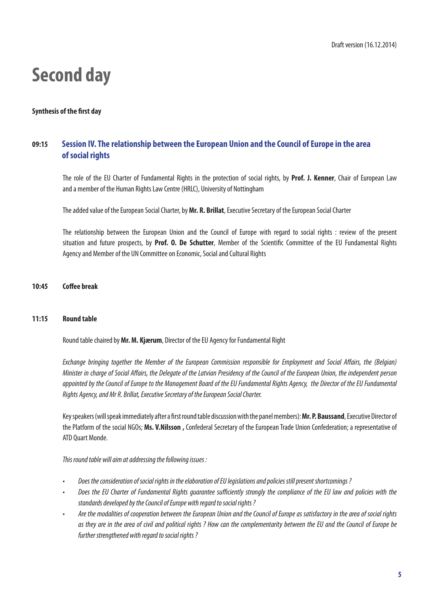### **Second day**

### **Synthesis of the frst day**

### **09:15 Session IV. The relationship between the European Union and the Council of Europe in the area of social rights**

The role of the EU Charter of Fundamental Rights in the protection of social rights, by **Prof. J. Kenner**, Chair of European Law and a member of the Human Rights Law Centre (HRLC), University of Nottingham

The added value of the European Social Charter, by **Mr. R. Brillat**, Executive Secretary of the European Social Charter

The relationship between the European Union and the Council of Europe with regard to social rights : review of the present situation and future prospects, by **Prof. O. De Schutter**, Member of the Scientifc Committee of the EU Fundamental Rights Agency and Member of the UN Committee on Economic, Social and Cultural Rights

### **10:45 Cofee break**

### **11:15 Round table**

Round table chaired by **Mr. M. Kjærum**, Director of the EU Agency for Fundamental Right

Exchange bringing together the Member of the European Commission responsible for Employment and Social Affairs, the (Belgian) Minister in charge of Social Affairs, the Delegate of the Latvian Presidency of the Council of the European Union, the independent person appointed by the Council of Europe to the Management Board of the EU Fundamental Rights Agency, the Director of the EU Fundamental Rights Agency, and Mr R. Brillat, Executive Secretary of the European Social Charter.

Key speakers (will speak immediately after a frst round table discussion with the panel members): **Mr. P. Baussand**, Executive Director of the Platform of the social NGOs; **Ms. V.Nilsson ,** Confederal Secretary of the European Trade Union Confederation; a representative of ATD Quart Monde.

This round table will aim at addressing the following issues :

- Does the consideration of social rights in the elaboration of EU legislations and policies still present shortcominas?
- Does the EU Charter of Fundamental Riahts auarantee sufficiently stronaly the compliance of the EU law and policies with the standards developed by the Council of Europe with regard to social rights ?
- Are the modalities of cooperation between the European Union and the Council of Europe as satisfactory in the area of social rights as they are in the area of civil and political rights ? How can the complementarity between the EU and the Council of Europe be further strengthened with regard to social rights?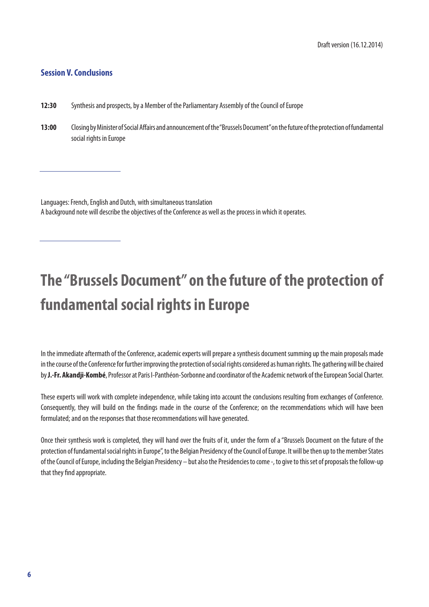### **Session V. Conclusions**

- **12:30** Synthesis and prospects, by a Member of the Parliamentary Assembly of the Council of Europe
- **13:00** Closing by Minister of Social Afairs and announcement of the "Brussels Document" on the future of the protection of fundamental social rights in Europe

Languages: French, English and Dutch, with simultaneous translation A background note will describe the objectives of the Conference as well as the process in which it operates.

## **The "Brussels Document" on the future of the protection of fundamental social rights in Europe**

In the immediate aftermath of the Conference, academic experts will prepare a synthesis document summing up the main proposals made in the course of the Conference for further improving the protection of social rights considered as human rights. The gathering will be chaired by **J.-Fr. Akandji-Kombé**, Professor at Paris I-Panthéon-Sorbonne and coordinator of the Academic network of the European Social Charter.

These experts will work with complete independence, while taking into account the conclusions resulting from exchanges of Conference. Consequently, they will build on the fndings made in the course of the Conference; on the recommendations which will have been formulated; and on the responses that those recommendations will have generated.

Once their synthesis work is completed, they will hand over the fruits of it, under the form of a "Brussels Document on the future of the protection of fundamental social rights in Europe", to the Belgian Presidency of the Council of Europe. It will be then up to the member States of the Council of Europe, including the Belgian Presidency – but also the Presidencies to come -, to give to this set of proposals the follow-up that they fnd appropriate.